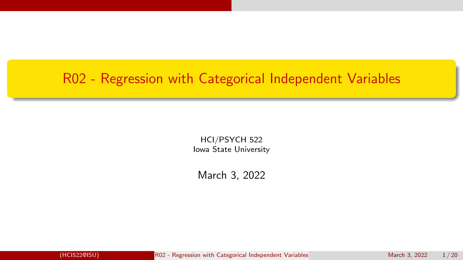### <span id="page-0-0"></span>R02 - Regression with Categorical Independent Variables

HCI/PSYCH 522 Iowa State University

March 3, 2022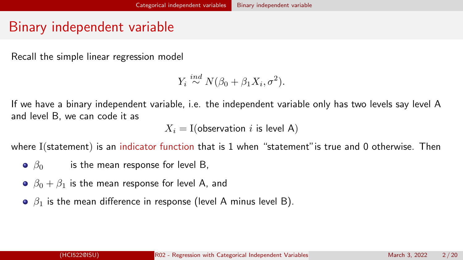## <span id="page-1-0"></span>Binary independent variable

Recall the simple linear regression model

```
Y_i \stackrel{ind}{\sim} N(\beta_0 + \beta_1 X_i, \sigma^2).
```
If we have a binary independent variable, i.e. the independent variable only has two levels say level A and level B, we can code it as

 $X_i = I$ (observation i is level A)

where I(statement) is an indicator function that is 1 when "statement" is true and 0 otherwise. Then

- $\theta$   $\beta$ <sub>0</sub> is the mean response for level B,
- $\theta_0$   $\beta_0 + \beta_1$  is the mean response for level A, and
- $\theta$   $\beta_1$  is the mean difference in response (level A minus level B).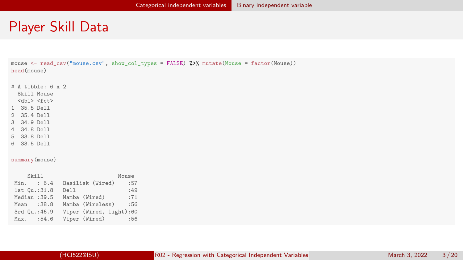#### Player Skill Data

mouse <- read\_csv("mouse.csv", show\_col\_types = FALSE) %>% mutate(Mouse = factor(Mouse)) head(mouse)

- # A tibble: 6 x 2
- Skill Mouse <dbl> <fct>
- 
- 1 35.5 Dell
- 2 35.4 Dell
- 3 34.9 Dell
- 4 34.8 Dell
- 5 33.8 Dell
- 6 33.5 Dell

summary(mouse)

| Skill         | Mouse                   |
|---------------|-------------------------|
| Min. : 6.4    | Basilisk (Wired)<br>:57 |
| 1st Qu.:31.8  | :49<br>Dell             |
| Median: 39.5  | Mamba (Wired)<br>:71    |
| Mean : 38.8   | Mamba (Wireless)<br>:56 |
| 3rd Qu.: 46.9 | Viper (Wired, light):60 |
| Max. : 54.6   | Viper (Wired)<br>:56    |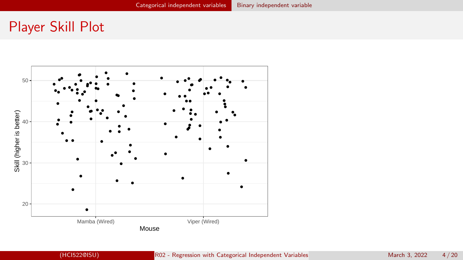### Player Skill Plot

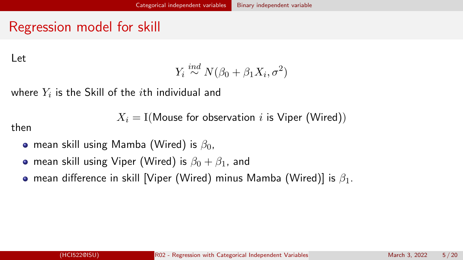## Regression model for skill

Let

$$
Y_i \stackrel{ind}{\sim} N(\beta_0 + \beta_1 X_i, \sigma^2)
$$

where  $Y_i$  is the Skill of the  $i$ th individual and

 $X_i = I(M$ ouse for observation i is Viper (Wired))

then

- mean skill using Mamba (Wired) is  $\beta_0$ .
- mean skill using Viper (Wired) is  $\beta_0 + \beta_1$ , and
- **•** mean difference in skill [Viper (Wired) minus Mamba (Wired)] is  $\beta_1$ .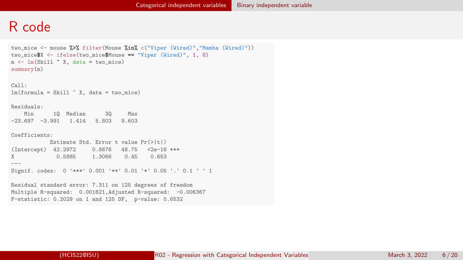#### R code

```
two_mice <- mouse %>% filter(Mouse %in% c("Viper (Wired)","Mamba (Wired)"))
two miceX \leftarrow ifelse(two mice\texttt{Mouse} == "Viper (Wired)", 1, 0)
m \leq -\ln(Skil) \tilde{x}, data = two mice)
summary(m)
Call:
lm(formula = Skill " X, data = two\_mice)Residuals:
   Min 1Q Median 3Q Max
-23.697 -3.991 1.414 5.803 9.603
Coefficients:
            Estimate Std. Error t value Pr(>|t|)
(Intercept) 42.2972 0.8676 48.75 <2e-16 ***<br>X 0.5885 1.3066 0.45 0.653
              0.5885 1.3066
---
Signif. codes: 0 '***' 0.001 '**' 0.01 '*' 0.05 '.' 0.1 ' ' 1
Residual standard error: 7.311 on 125 degrees of freedom
Multiple R-squared: 0.001621,Adjusted R-squared: -0.006367
F-statistic: 0.2029 on 1 and 125 DF, p-value: 0.6532
```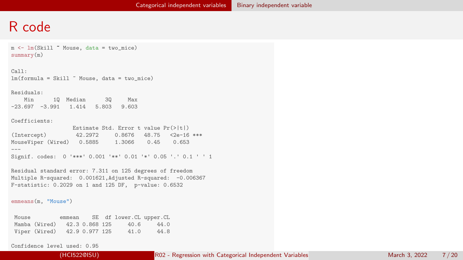#### R code

```
m \leq -\ln(Sk) \sim Mouse, data = two mice)
summary(m)
```
Call:  $lm(formula = Skil1 " Mouse, data = two mice)$ 

Residuals:

Min 1Q Median 3Q Max -23.697 -3.991 1.414 5.803 9.603

Coefficients:

|                                                               |         | Estimate Std. Error t value $Pr(>\vert t \vert)$ |  |  |
|---------------------------------------------------------------|---------|--------------------------------------------------|--|--|
| (Intercept)                                                   | 42.2972 | $0.8676$ 48.75 <2e-16 ***                        |  |  |
| MouseViper (Wired) 0.5885 1.3066 0.45 0.653                   |         |                                                  |  |  |
| $- - -$                                                       |         |                                                  |  |  |
| Signif. codes: 0 '***' 0.001 '**' 0.01 '*' 0.05 '.' 0.1 ' ' 1 |         |                                                  |  |  |

Residual standard error: 7.311 on 125 degrees of freedom Multiple R-squared: 0.001621.Adjusted R-squared: -0.006367 F-statistic: 0.2029 on 1 and 125 DF, p-value: 0.6532

emmeans(m, "Mouse")

| Mouse |               | emmean |                |      | SE df lower. CL upper. CL |
|-------|---------------|--------|----------------|------|---------------------------|
|       | Mamba (Wired) |        | 42.3 0.868 125 | 40.6 | 44.0                      |
|       | Viper (Wired) |        | 42.9 0.977 125 | 41.0 | 44.8                      |

Confidence level used: 0.95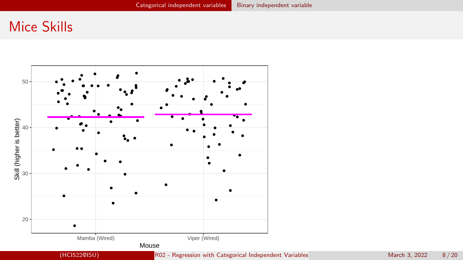#### Mice Skills

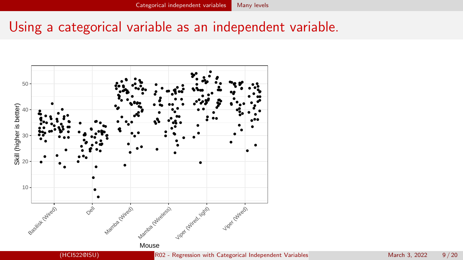### <span id="page-8-0"></span>Using a categorical variable as an independent variable.

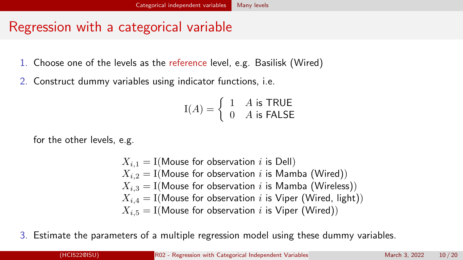# Regression with a categorical variable

- 1. Choose one of the levels as the reference level, e.g. Basilisk (Wired)
- 2. Construct dummy variables using indicator functions, i.e.

$$
I(A) = \begin{cases} 1 & A \text{ is TRUE} \\ 0 & A \text{ is FALSE} \end{cases}
$$

for the other levels, e.g.

 $X_{i,1} = I(M$ ouse for observation i is Dell)  $X_{i,2} = I(M$ ouse for observation i is Mamba (Wired))  $X_{i,3} = I(M$ ouse for observation i is Mamba (Wireless))  $X_{i,4} = I(M$ ouse for observation i is Viper (Wired, light))  $X_{i,5} = I(M$ ouse for observation i is Viper (Wired))

3. Estimate the parameters of a multiple regression model using these dummy variables.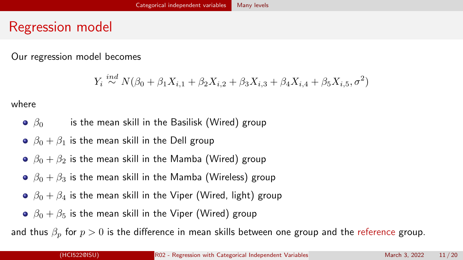#### Regression model

Our regression model becomes

$$
Y_i \stackrel{ind}{\sim} N(\beta_0 + \beta_1 X_{i,1} + \beta_2 X_{i,2} + \beta_3 X_{i,3} + \beta_4 X_{i,4} + \beta_5 X_{i,5}, \sigma^2)
$$

where

- $\theta$   $\beta$ <sub>0</sub> is the mean skill in the Basilisk (Wired) group
- $\theta_0 + \beta_1$  is the mean skill in the Dell group
- $\theta_0 + \beta_2$  is the mean skill in the Mamba (Wired) group
- $\bullet$   $\beta_0 + \beta_3$  is the mean skill in the Mamba (Wireless) group
- $\theta_0 + \beta_4$  is the mean skill in the Viper (Wired, light) group
- $\theta_0 + \beta_5$  is the mean skill in the Viper (Wired) group

and thus  $\beta_n$  for  $p > 0$  is the difference in mean skills between one group and the reference group.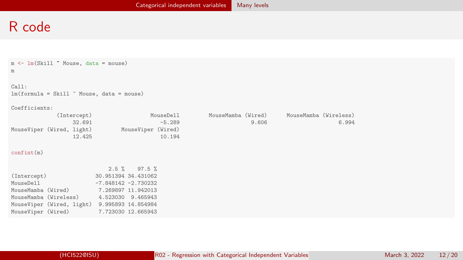#### R code

| $m \leftarrow \text{lm}(Skill \tilde{\ }$ Mouse, data = mouse)<br>m |                                                        |                             |                                |
|---------------------------------------------------------------------|--------------------------------------------------------|-----------------------------|--------------------------------|
| Call:<br>$lm(formula = Skill$ $% Mouse$ , data = mouse)             |                                                        |                             |                                |
| Coefficients:                                                       |                                                        |                             |                                |
| (Intercept)<br>32.691                                               | MouseDell<br>$-5.289$                                  | MouseMamba (Wired)<br>9.606 | MouseMamba (Wireless)<br>6.994 |
| 12.425                                                              | MouseViper (Wired, light) MouseViper (Wired)<br>10.194 |                             |                                |
| confint(m)                                                          |                                                        |                             |                                |
|                                                                     | $2.5 \%$ 97.5 %                                        |                             |                                |
| (Intercept)                                                         | 30.951394 34.431062                                    |                             |                                |
| MouseDell                                                           | $-7.848142 -2.730232$                                  |                             |                                |
| MouseMamba (Wired) 7.269897 11.942013                               |                                                        |                             |                                |
| MouseMamba (Wireless) 4.523030 9.465943                             |                                                        |                             |                                |
| MouseViper (Wired, light) 9.995893 14.854984                        |                                                        |                             |                                |
| MouseViper (Wired)                                                  | 7.723030 12.665943                                     |                             |                                |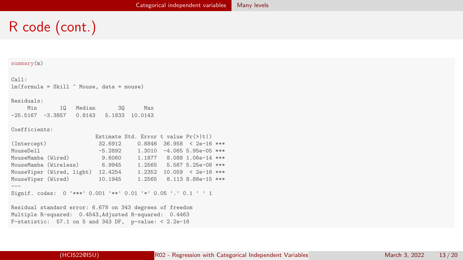# R code (cont.)

#### summary(m)

Call:  $lm(formula = Skill$   $Mouse, data = mouse)$ 

#### Residuals:

| Min                 | 10 Median | 30 | Max            |
|---------------------|-----------|----|----------------|
| $-25.5167 - 3.3857$ | 0.8143    |    | 5.1833 10.0143 |

Coefficients:

|                                                               |           | Estimate Std. Error t value $Pr(>\vert t \vert)$ |                               |  |
|---------------------------------------------------------------|-----------|--------------------------------------------------|-------------------------------|--|
| (Intercept)                                                   | 32.6912   |                                                  | $0.8846$ 36.958 < 2e-16 ***   |  |
| MouseDell<br><u> Albanya da</u>                               | $-5.2892$ |                                                  | $1.3010 - 4.065 5.95e-05$ *** |  |
| MouseMamba (Wired)                                            | 9,6060    |                                                  | 1.1877 8.088 1.06e-14 ***     |  |
| MouseMamba (Wireless)                                         | 6.9945    | 1.2565                                           | 5.567 5.25e-08 ***            |  |
| MouseViper (Wired, light)                                     | 12.4254   | 1.2352                                           | $10.059 < 2e-16$ ***          |  |
| MouseViper (Wired)                                            | 10.1945   |                                                  | 1.2565 8.113 8.88e-15 ***     |  |
|                                                               |           |                                                  |                               |  |
| Signif. codes: 0 '***' 0.001 '**' 0.01 '*' 0.05 '.' 0.1 ' ' 1 |           |                                                  |                               |  |
|                                                               |           |                                                  |                               |  |

Residual standard error: 6.678 on 343 degrees of freedom Multiple R-squared: 0.4543,Adjusted R-squared: 0.4463 F-statistic: 57.1 on 5 and 343 DF, p-value: < 2.2e-16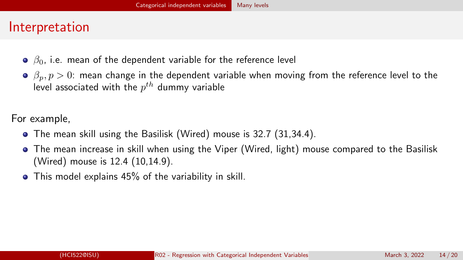### Interpretation

- $\theta$   $\beta_0$ , i.e. mean of the dependent variable for the reference level
- $\beta_p, p > 0$ : mean change in the dependent variable when moving from the reference level to the level associated with the  $p^{th}$  dummy variable

For example,

- The mean skill using the Basilisk (Wired) mouse is 32.7 (31,34.4).
- The mean increase in skill when using the Viper (Wired, light) mouse compared to the Basilisk (Wired) mouse is 12.4 (10,14.9).
- This model explains 45% of the variability in skill.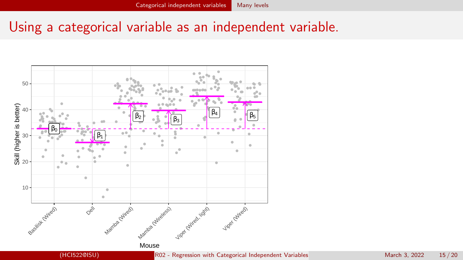## Using a categorical variable as an independent variable.

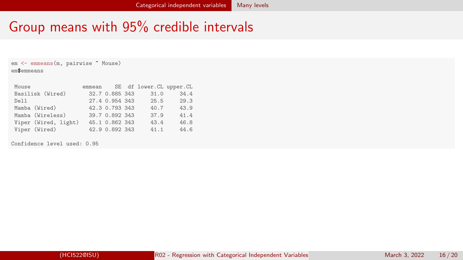## Group means with 95% credible intervals

em <- emmeans(m, pairwise ~ Mouse) em\$emmeans

| Mouse                |                | emmean SE df lower. CL upper. CL |      |
|----------------------|----------------|----------------------------------|------|
| Basilisk (Wired)     | 32.7 0.885 343 | 31.0                             | 34.4 |
| Dell                 | 27.4 0.954 343 | 25.5                             | 29.3 |
| Mamba (Wired)        | 42.3 0.793 343 | 40.7                             | 43.9 |
| Mamba (Wireless)     | 39.7 0.892 343 | 37.9                             | 41.4 |
| Viper (Wired, light) | 45.1 0.862 343 | 43.4                             | 46.8 |
| Viper (Wired)        | 42.9 0.892 343 | 41.1                             | 44.6 |

Confidence level used: 0.95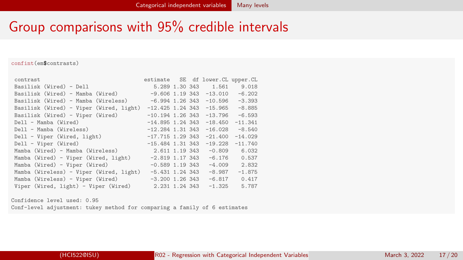### Group comparisons with 95% credible intervals

#### confint(em\$contrasts)

| contrast                                |                    |  | estimate SE df lower. CL upper. CL |           |
|-----------------------------------------|--------------------|--|------------------------------------|-----------|
| Basilisk (Wired) - Dell                 |                    |  | 5.289 1.30 343 1.561               | 9.018     |
| Basilisk (Wired) - Mamba (Wired)        |                    |  | $-9.606$ 1.19 343 $-13.010$        | $-6.202$  |
| Basilisk (Wired) - Mamba (Wireless)     |                    |  | $-6.994$ 1.26 343 $-10.596$        | $-3.393$  |
| Basilisk (Wired) - Viper (Wired, light) | $-12.425$ 1.24 343 |  | $-15.965$                          | $-8.885$  |
| Basilisk (Wired) - Viper (Wired)        | $-10.194$ 1.26 343 |  | $-13.796$                          | $-6.593$  |
| Dell - Mamba (Wired)                    | $-14.895$ 1.24 343 |  | $-18.450$                          | $-11.341$ |
| Dell - Mamba (Wireless)                 | $-12.284$ 1.31 343 |  | $-16.028$                          | $-8.540$  |
| Dell - Viper (Wired, light)             | $-17.715$ 1.29 343 |  | $-21.400$                          | $-14.029$ |
| Dell - Viper (Wired)                    | $-15.484$ 1.31 343 |  | $-19.228$                          | $-11.740$ |
| Mamba (Wired) - Mamba (Wireless)        |                    |  | $2.611$ 1.19 343 $-0.809$          | 6.032     |
| Mamba (Wired) - Viper (Wired, light)    | $-2.819$ 1.17 343  |  | $-6.176$                           | 0.537     |
| Mamba (Wired) - Viper (Wired)           | $-0.589$ 1.19 343  |  | $-4.009$                           | 2.832     |
| Mamba (Wireless) - Viper (Wired, light) | $-5.431$ 1.24 343  |  | $-8.987$                           | $-1.875$  |
| Mamba (Wireless) - Viper (Wired)        | $-3.200$ 1.26 343  |  | $-6.817$                           | 0.417     |
| Viper (Wired, light) - Viper (Wired)    | 2.231 1.24 343     |  | $-1.325$                           | 5.787     |

Confidence level used: 0.95 Conf-level adjustment: tukey method for comparing a family of 6 estimates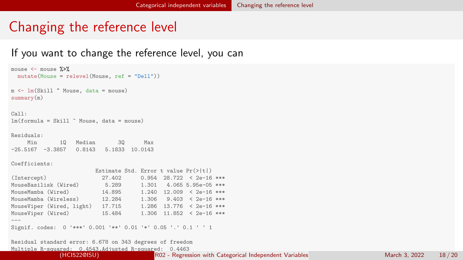## <span id="page-17-0"></span>Changing the reference level

#### If you want to change the reference level, you can

```
mouse \leq mouse \frac{9}{2}mutate(Mouse = relevel(Mouse, ref = "Dell"))
m \leq 1m(Skil) \sim Mouse, data = mouse)
summary(m)
Call:
lm(formula = Skill " Mouse, data = mouse)Residuals:<br>Min
               Min 1Q Median 3Q Max
-25.5167 -3.3857 0.8143 5.1833 10.0143
Coefficients:
                          Estimate Std. Error t value Pr(>|t|)
(Intercept) 27.402 0.954 28.722 < 2e-16 ***
MouseBasilisk (Wired) 5.289 1.301 4.065 5.95e-05 ***<br>MouseMamba (Wired) 14.895 1.240 12.009 < 2e-16 ***
                           14.895 1.240 12.009 \leq 2e-16 ***
MouseMamba (Wireless) 12.284 1.306 9.403 < 2e-16 ***
MouseViper (Wired, light) 17.715 1.286 13.776 < 2e-16 ***
                                      1.306 11.852 < 2e-16 ***
---
Signif. codes: 0 '***' 0.001 '**' 0.01 '*' 0.05 '.' 0.1 ' ' 1
Residual standard error: 6.678 on 343 degrees of freedom
```
Multiple R-squared: 0.4543,Adjusted R-squared: 0.4463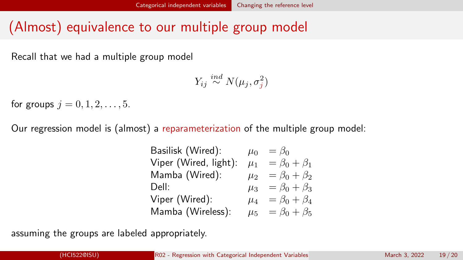## (Almost) equivalence to our multiple group model

Recall that we had a multiple group model

$$
Y_{ij} \stackrel{ind}{\sim} N(\mu_j, \sigma_j^2)
$$

for groups  $j = 0, 1, 2, ..., 5$ .

Our regression model is (almost) a reparameterization of the multiple group model:

Basilisk (Wired):  $\mu_0 = \beta_0$ Viper (Wired, light):  $\mu_1 = \beta_0 + \beta_1$ Mamba (Wired):  $\mu_2 = \beta_0 + \beta_2$ Dell:  $\mu_3 = \beta_0 + \beta_3$ Viper (Wired):  $\mu_4 = \beta_0 + \beta_4$ Mamba (Wireless):  $\mu_5 = \beta_0 + \beta_5$ 

assuming the groups are labeled appropriately.